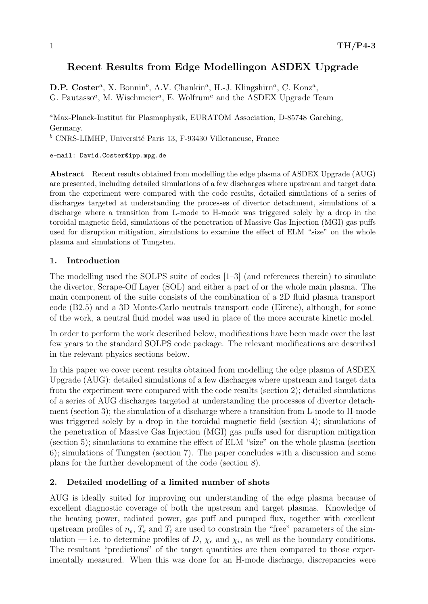# Recent Results from Edge Modellingon ASDEX Upgrade

D.P. Coster<sup>a</sup>, X. Bonnin<sup>b</sup>, A.V. Chankin<sup>a</sup>, H.-J. Klingshirn<sup>a</sup>, C. Konz<sup>a</sup>, G. Pautasso<sup>a</sup>, M. Wischmeier<sup>a</sup>, E. Wolfrum<sup>a</sup> and the ASDEX Upgrade Team

 ${}^a$ Max-Planck-Institut für Plasmaphysik, EURATOM Association, D-85748 Garching, Germany.

 $<sup>b</sup>$  CNRS-LIMHP, Université Paris 13, F-93430 Villetaneuse, France</sup>

e-mail: David.Coster@ipp.mpg.de

Abstract Recent results obtained from modelling the edge plasma of ASDEX Upgrade (AUG) are presented, including detailed simulations of a few discharges where upstream and target data from the experiment were compared with the code results, detailed simulations of a series of discharges targeted at understanding the processes of divertor detachment, simulations of a discharge where a transition from L-mode to H-mode was triggered solely by a drop in the toroidal magnetic field, simulations of the penetration of Massive Gas Injection (MGI) gas puffs used for disruption mitigation, simulations to examine the effect of ELM "size" on the whole plasma and simulations of Tungsten.

# 1. Introduction

The modelling used the SOLPS suite of codes [1–3] (and references therein) to simulate the divertor, Scrape-Off Layer (SOL) and either a part of or the whole main plasma. The main component of the suite consists of the combination of a 2D fluid plasma transport code (B2.5) and a 3D Monte-Carlo neutrals transport code (Eirene), although, for some of the work, a neutral fluid model was used in place of the more accurate kinetic model.

In order to perform the work described below, modifications have been made over the last few years to the standard SOLPS code package. The relevant modifications are described in the relevant physics sections below.

In this paper we cover recent results obtained from modelling the edge plasma of ASDEX Upgrade (AUG): detailed simulations of a few discharges where upstream and target data from the experiment were compared with the code results (section 2); detailed simulations of a series of AUG discharges targeted at understanding the processes of divertor detachment (section 3); the simulation of a discharge where a transition from L-mode to H-mode was triggered solely by a drop in the toroidal magnetic field (section 4); simulations of the penetration of Massive Gas Injection (MGI) gas puffs used for disruption mitigation (section 5); simulations to examine the effect of ELM "size" on the whole plasma (section 6); simulations of Tungsten (section 7). The paper concludes with a discussion and some plans for the further development of the code (section 8).

# 2. Detailed modelling of a limited number of shots

AUG is ideally suited for improving our understanding of the edge plasma because of excellent diagnostic coverage of both the upstream and target plasmas. Knowledge of the heating power, radiated power, gas puff and pumped flux, together with excellent upstream profiles of  $n_e$ ,  $T_e$  and  $T_i$  are used to constrain the "free" parameters of the simulation – i.e. to determine profiles of D,  $\chi_e$  and  $\chi_i$ , as well as the boundary conditions. The resultant "predictions" of the target quantities are then compared to those experimentally measured. When this was done for an H-mode discharge, discrepancies were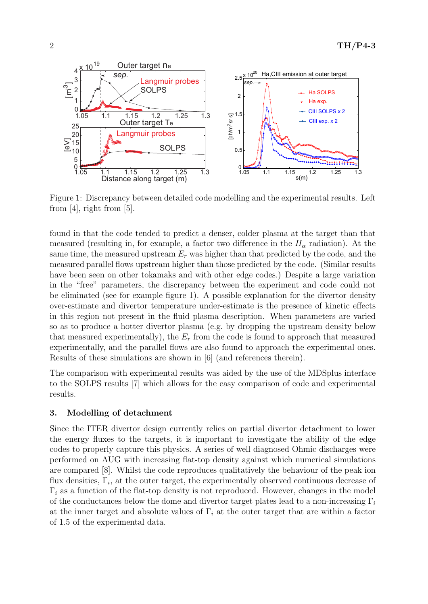

Figure 1: Discrepancy between detailed code modelling and the experimental results. Left from  $[4]$ , right from  $[5]$ .

found in that the code tended to predict a denser, colder plasma at the target than that measured (resulting in, for example, a factor two difference in the  $H_{\alpha}$  radiation). At the same time, the measured upstream  $E_r$  was higher than that predicted by the code, and the measured parallel flows upstream higher than those predicted by the code. (Similar results have been seen on other tokamaks and with other edge codes.) Despite a large variation in the "free" parameters, the discrepancy between the experiment and code could not be eliminated (see for example figure 1). A possible explanation for the divertor density over-estimate and divertor temperature under-estimate is the presence of kinetic effects in this region not present in the fluid plasma description. When parameters are varied so as to produce a hotter divertor plasma (e.g. by dropping the upstream density below that measured experimentally), the  $E_r$  from the code is found to approach that measured experimentally, and the parallel flows are also found to approach the experimental ones. Results of these simulations are shown in [6] (and references therein).

The comparison with experimental results was aided by the use of the MDSplus interface to the SOLPS results [7] which allows for the easy comparison of code and experimental results.

# 3. Modelling of detachment

Since the ITER divertor design currently relies on partial divertor detachment to lower the energy fluxes to the targets, it is important to investigate the ability of the edge codes to properly capture this physics. A series of well diagnosed Ohmic discharges were performed on AUG with increasing flat-top density against which numerical simulations are compared [8]. Whilst the code reproduces qualitatively the behaviour of the peak ion flux densities,  $\Gamma_i$ , at the outer target, the experimentally observed continuous decrease of  $\Gamma_i$  as a function of the flat-top density is not reproduced. However, changes in the model of the conductances below the dome and divertor target plates lead to a non-increasing  $\Gamma_i$ at the inner target and absolute values of  $\Gamma_i$  at the outer target that are within a factor of 1.5 of the experimental data.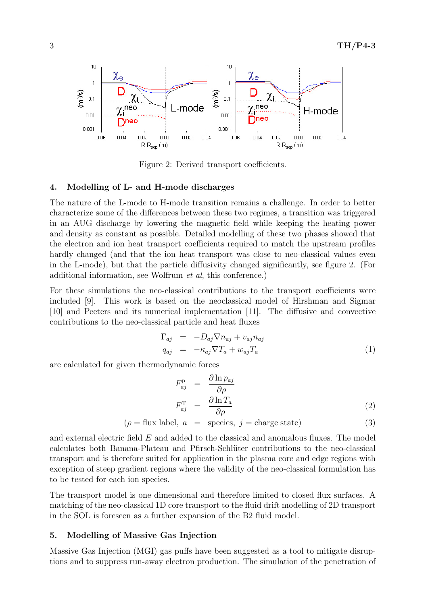

Figure 2: Derived transport coefficients.

#### 4. Modelling of L- and H-mode discharges

The nature of the L-mode to H-mode transition remains a challenge. In order to better characterize some of the differences between these two regimes, a transition was triggered in an AUG discharge by lowering the magnetic field while keeping the heating power and density as constant as possible. Detailed modelling of these two phases showed that the electron and ion heat transport coefficients required to match the upstream profiles hardly changed (and that the ion heat transport was close to neo-classical values even in the L-mode), but that the particle diffusivity changed significantly, see figure 2. (For additional information, see Wolfrum et al, this conference.)

For these simulations the neo-classical contributions to the transport coefficients were included [9]. This work is based on the neoclassical model of Hirshman and Sigmar [10] and Peeters and its numerical implementation [11]. The diffusive and convective contributions to the neo-classical particle and heat fluxes

$$
\Gamma_{aj} = -D_{aj}\nabla n_{aj} + v_{aj}n_{aj}
$$
\n
$$
q_{aj} = -\kappa_{aj}\nabla T_a + w_{aj}T_a
$$
\n(1)

are calculated for given thermodynamic forces

$$
F_{aj}^{\mathbf{p}} = \frac{\partial \ln p_{aj}}{\partial \rho}
$$
  

$$
F_{aj}^{\mathbf{T}} = \frac{\partial \ln T_a}{\partial \rho}
$$
 (2)

$$
(\rho = \text{flux label}, a = \text{species}, j = \text{charge state})
$$
\n(3)

and external electric field E and added to the classical and anomalous fluxes. The model calculates both Banana-Plateau and Pfirsch-Schlüter contributions to the neo-classical transport and is therefore suited for application in the plasma core and edge regions with exception of steep gradient regions where the validity of the neo-classical formulation has to be tested for each ion species.

The transport model is one dimensional and therefore limited to closed flux surfaces. A matching of the neo-classical 1D core transport to the fluid drift modelling of 2D transport in the SOL is foreseen as a further expansion of the B2 fluid model.

#### 5. Modelling of Massive Gas Injection

Massive Gas Injection (MGI) gas puffs have been suggested as a tool to mitigate disruptions and to suppress run-away electron production. The simulation of the penetration of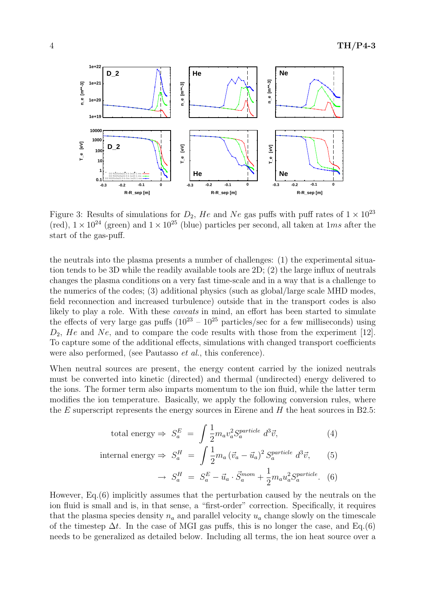

 $0^{24}$  (green) and  $1 \times 10^{25}$  (blue) particl u orcice  $\frac{1}{2}$ ll to  $\overline{u}$  can (red),  $1 \times 10^{24}$  (green) and  $1 \times 10^{25}$  (blue) particles per second, all taken at 1ms after the Figure 3: Results of simulations for  $D_2$ , He and Ne gas puffs with puff rates of  $1 \times 10^{23}$ start of the gas-puff.

atoms / s **47 % 153 %** tion tends to be 3D while the readily available tools are  $2D$ ;  $(2)$  the large influx of neutrals changes the plasma conditions are a year feet time scale and in a way that is a shallows to  $e$  plasma condition the numerics of the codes; (3) additional physics (such as global/large scale MHD modes, field reconnection and increased turbulence) outside that in the transport codes is also likely to play a role. With these *caveats* in mind, an effort has been started to simulate changes the plasma conditions on a very fast time-scale and in a way that is a challenge to  $\frac{1}{2}$ **210 %**  $D_2$ , He and Ne, and to compare the code results with those from the experiment [12].  $L_2$ , and one compare the code results with those from the experiment  $\lfloor 12 \rfloor$ .<br>To capture some of the additional effects, simulations with changed transport coefficients the neutrals into the plasma presents a number of challenges: (1) the experimental situathe effects of very large gas puffs  $(10^{23} - 10^{25} \text{ particles/sec}$  for a few milliseconds) using were also performed, (see Pautasso *et al.*, this conference).

When neutral sources are present, the energy content carried by the ionized neutrals must be converted into kinetic (directed) and thermal (undirected) energy delivered to the ions. The former term also imparts momentum to the ion fluid, while the latter term modifies the ion temperature. Basically, we apply the following conversion rules, where the E superscript represents the energy sources in Eirene and  $H$  the heat sources in B2.5:

total energy 
$$
\Rightarrow S_a^E = \int \frac{1}{2} m_a v_a^2 S_a^{particle} d^3 \vec{v}
$$
, (4)  
internal energy  $\Rightarrow S_a^H = \int \frac{1}{2} m_a (\vec{v}_a - \vec{u}_a)^2 S_a^{particle} d^3 \vec{v}$ , (5)  
 $\rightarrow S_a^H = S_a^E - \vec{u}_a \cdot \vec{S}_a^{mom} + \frac{1}{2} m_a u_a^2 S_a^{particle}$ . (6)

However, Eq.(6) implicitly assumes that the perturbation caused by the neutrals on the ion fluid is small and is, in that sense, a "first-order" correction. Specifically, it requires that the plasma species density  $n_a$  and parallel velocity  $u_a$  change slowly on the timescale of the timestep  $\Delta t$ . In the case of MGI gas puffs, this is no longer the case, and Eq.(6) needs to be generalized as detailed below. Including all terms, the ion heat source over a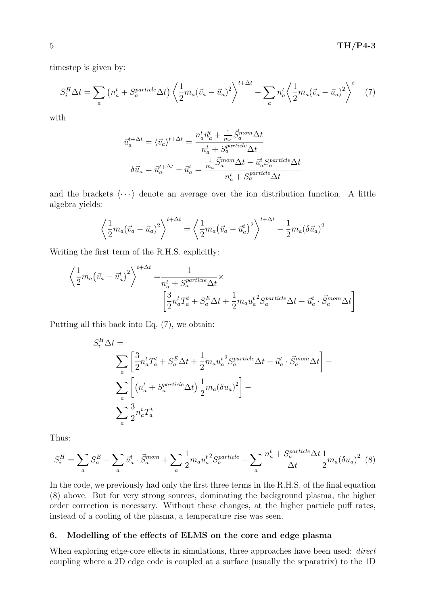timestep is given by:

$$
S_i^H \Delta t = \sum_a \left( n_a^t + S_a^{\text{particle}} \Delta t \right) \left\langle \frac{1}{2} m_a (\vec{v}_a - \vec{u}_a)^2 \right\rangle^{t + \Delta t} - \sum_a n_a^t \left\langle \frac{1}{2} m_a (\vec{v}_a - \vec{u}_a)^2 \right\rangle^t \tag{7}
$$

with

$$
\vec{u}_a^{t + \Delta t} = \langle \vec{v}_a \rangle^{t + \Delta t} = \frac{n_a^t \vec{u}_a^t + \frac{1}{m_a} \vec{S}_a^{mom} \Delta t}{n_a^t + S_a^{particle} \Delta t}
$$
\n
$$
\delta \vec{u}_a = \vec{u}_a^{t + \Delta t} - \vec{u}_a^t = \frac{\frac{1}{m_a} \vec{S}_a^{mom} \Delta t - \vec{u}_a^t S_a^{particle} \Delta t}{n_a^t + S_a^{particle} \Delta t}
$$

and the brackets  $\langle \cdots \rangle$  denote an average over the ion distribution function. A little algebra yields:

$$
\left\langle \frac{1}{2}m_a(\vec{v}_a - \vec{u}_a)^2 \right\rangle^{t + \Delta t} = \left\langle \frac{1}{2}m_a(\vec{v}_a - \vec{u}_a^t)^2 \right\rangle^{t + \Delta t} - \frac{1}{2}m_a(\delta \vec{u}_a)^2
$$

Writing the first term of the R.H.S. explicitly:

$$
\left\langle \frac{1}{2} m_a \left( \vec{v}_a - \vec{u}_a^t \right)^2 \right\rangle^{t + \Delta t} = \frac{1}{n_a^t + S_a^{particle} \Delta t} \times \left[ \frac{3}{2} n_a^t T_a^t + S_a^E \Delta t + \frac{1}{2} m_a u_a^t{}^2 S_a^{particle} \Delta t - \vec{u}_a^t \cdot \vec{S}_a^{mom} \Delta t \right]
$$

Putting all this back into Eq. (7), we obtain:

$$
S_i^H \Delta t =
$$
\n
$$
\sum_a \left[ \frac{3}{2} n_a^t T_a^t + S_a^E \Delta t + \frac{1}{2} m_a u_a^t{}^2 S_a^{particle} \Delta t - \vec{u}_a^t \cdot \vec{S}_a^{mom} \Delta t \right] -
$$
\n
$$
\sum_a \left[ \left( n_a^t + S_a^{particle} \Delta t \right) \frac{1}{2} m_a (\delta u_a)^2 \right] -
$$
\n
$$
\sum_a \frac{3}{2} n_a^t T_a^t
$$

Thus:

$$
S_i^H = \sum_a S_a^E - \sum_a \vec{u}_a^t \cdot \vec{S}_a^{mom} + \sum_a \frac{1}{2} m_a u_a^t{}^2 S_a^{particle} - \sum_a \frac{n_a^t + S_a^{particle} \Delta t}{\Delta t} \frac{1}{2} m_a (\delta u_a)^2
$$
 (8)

In the code, we previously had only the first three terms in the R.H.S. of the final equation (8) above. But for very strong sources, dominating the background plasma, the higher order correction is necessary. Without these changes, at the higher particle puff rates, instead of a cooling of the plasma, a temperature rise was seen.

#### 6. Modelling of the effects of ELMS on the core and edge plasma

When exploring edge-core effects in simulations, three approaches have been used: *direct* coupling where a 2D edge code is coupled at a surface (usually the separatrix) to the 1D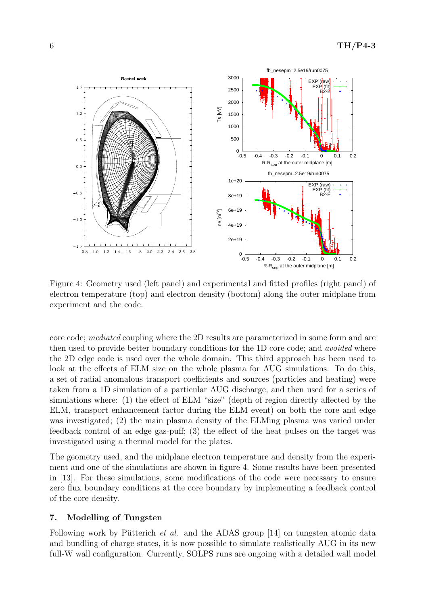

Figure 4: Geometry used (left panel) and experimental and fitted profiles (right panel) of electron temperature (top) and electron density (bottom) along the outer midplane from experiment and the code.

core code; mediated coupling where the 2D results are parameterized in some form and are then used to provide better boundary conditions for the 1D core code; and *avoided* where the 2D edge code is used over the whole domain. This third approach has been used to look at the effects of ELM size on the whole plasma for AUG simulations. To do this, a set of radial anomalous transport coefficients and sources (particles and heating) were taken from a 1D simulation of a particular AUG discharge, and then used for a series of simulations where: (1) the effect of ELM "size" (depth of region directly affected by the ELM, transport enhancement factor during the ELM event) on both the core and edge was investigated; (2) the main plasma density of the ELMing plasma was varied under feedback control of an edge gas-puff; (3) the effect of the heat pulses on the target was investigated using a thermal model for the plates.

The geometry used, and the midplane electron temperature and density from the experiment and one of the simulations are shown in figure 4. Some results have been presented in [13]. For these simulations, some modifications of the code were necessary to ensure zero flux boundary conditions at the core boundary by implementing a feedback control of the core density.

### 7. Modelling of Tungsten

Following work by Pütterich *et al.* and the ADAS group [14] on tungsten atomic data and bundling of charge states, it is now possible to simulate realistically AUG in its new full-W wall configuration. Currently, SOLPS runs are ongoing with a detailed wall model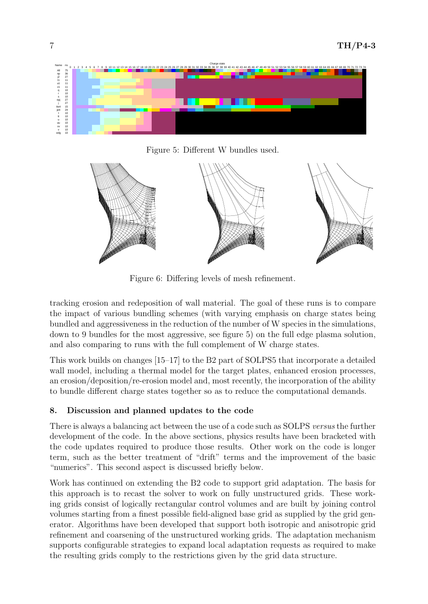

Figure 5: Different W bundles used.



Figure 6: Differing levels of mesh refinement.

tracking erosion and redeposition of wall material. The goal of these runs is to compare the impact of various bundling schemes (with varying emphasis on charge states being bundled and aggressiveness in the reduction of the number of W species in the simulations, down to 9 bundles for the most aggressive, see figure 5) on the full edge plasma solution, and also comparing to runs with the full complement of W charge states.

This work builds on changes [15–17] to the B2 part of SOLPS5 that incorporate a detailed wall model, including a thermal model for the target plates, enhanced erosion processes, an erosion/deposition/re-erosion model and, most recently, the incorporation of the ability to bundle different charge states together so as to reduce the computational demands.

# 8. Discussion and planned updates to the code

There is always a balancing act between the use of a code such as SOLPS versus the further development of the code. In the above sections, physics results have been bracketed with the code updates required to produce those results. Other work on the code is longer term, such as the better treatment of "drift" terms and the improvement of the basic "numerics". This second aspect is discussed briefly below.

Work has continued on extending the B2 code to support grid adaptation. The basis for this approach is to recast the solver to work on fully unstructured grids. These working grids consist of logically rectangular control volumes and are built by joining control volumes starting from a finest possible field-aligned base grid as supplied by the grid generator. Algorithms have been developed that support both isotropic and anisotropic grid refinement and coarsening of the unstructured working grids. The adaptation mechanism supports configurable strategies to expand local adaptation requests as required to make the resulting grids comply to the restrictions given by the grid data structure.